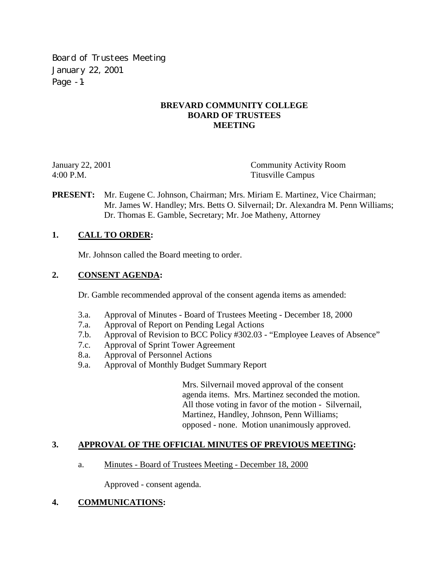Board of Trustees Meeting January 22, 2001 Page -1-

## **BREVARD COMMUNITY COLLEGE BOARD OF TRUSTEES MEETING**

January 22, 2001 Community Activity Room 4:00 P.M. Titusville Campus

**PRESENT:** Mr. Eugene C. Johnson, Chairman; Mrs. Miriam E. Martinez, Vice Chairman; Mr. James W. Handley; Mrs. Betts O. Silvernail; Dr. Alexandra M. Penn Williams; Dr. Thomas E. Gamble, Secretary; Mr. Joe Matheny, Attorney

## **1. CALL TO ORDER:**

Mr. Johnson called the Board meeting to order.

## **2. CONSENT AGENDA:**

Dr. Gamble recommended approval of the consent agenda items as amended:

- 3.a. Approval of Minutes Board of Trustees Meeting December 18, 2000
- 7.a. Approval of Report on Pending Legal Actions
- 7.b. Approval of Revision to BCC Policy #302.03 "Employee Leaves of Absence"
- 7.c. Approval of Sprint Tower Agreement
- 8.a. Approval of Personnel Actions
- 9.a. Approval of Monthly Budget Summary Report

Mrs. Silvernail moved approval of the consent agenda items. Mrs. Martinez seconded the motion. All those voting in favor of the motion - Silvernail, Martinez, Handley, Johnson, Penn Williams; opposed - none. Motion unanimously approved.

## **3. APPROVAL OF THE OFFICIAL MINUTES OF PREVIOUS MEETING:**

a. Minutes - Board of Trustees Meeting - December 18, 2000

Approved - consent agenda.

## **4. COMMUNICATIONS:**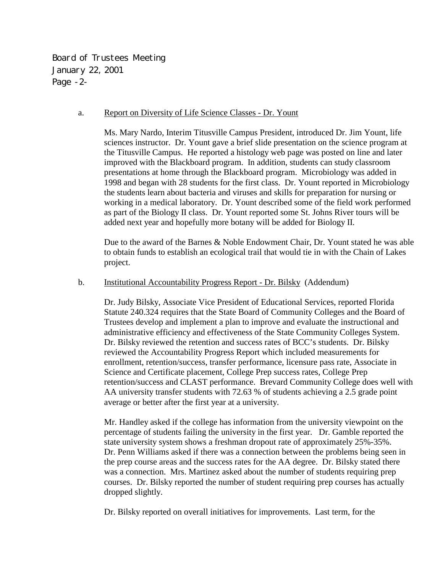Board of Trustees Meeting January 22, 2001 Page -2-

### a. Report on Diversity of Life Science Classes - Dr. Yount

Ms. Mary Nardo, Interim Titusville Campus President, introduced Dr. Jim Yount, life sciences instructor. Dr. Yount gave a brief slide presentation on the science program at the Titusville Campus. He reported a histology web page was posted on line and later improved with the Blackboard program. In addition, students can study classroom presentations at home through the Blackboard program. Microbiology was added in 1998 and began with 28 students for the first class. Dr. Yount reported in Microbiology the students learn about bacteria and viruses and skills for preparation for nursing or working in a medical laboratory. Dr. Yount described some of the field work performed as part of the Biology II class. Dr. Yount reported some St. Johns River tours will be added next year and hopefully more botany will be added for Biology II.

Due to the award of the Barnes & Noble Endowment Chair, Dr. Yount stated he was able to obtain funds to establish an ecological trail that would tie in with the Chain of Lakes project.

### b. Institutional Accountability Progress Report - Dr. Bilsky (Addendum)

Dr. Judy Bilsky, Associate Vice President of Educational Services, reported Florida Statute 240.324 requires that the State Board of Community Colleges and the Board of Trustees develop and implement a plan to improve and evaluate the instructional and administrative efficiency and effectiveness of the State Community Colleges System. Dr. Bilsky reviewed the retention and success rates of BCC's students. Dr. Bilsky reviewed the Accountability Progress Report which included measurements for enrollment, retention/success, transfer performance, licensure pass rate, Associate in Science and Certificate placement, College Prep success rates, College Prep retention/success and CLAST performance. Brevard Community College does well with AA university transfer students with 72.63 % of students achieving a 2.5 grade point average or better after the first year at a university.

Mr. Handley asked if the college has information from the university viewpoint on the percentage of students failing the university in the first year. Dr. Gamble reported the state university system shows a freshman dropout rate of approximately 25%-35%. Dr. Penn Williams asked if there was a connection between the problems being seen in the prep course areas and the success rates for the AA degree. Dr. Bilsky stated there was a connection. Mrs. Martinez asked about the number of students requiring prep courses. Dr. Bilsky reported the number of student requiring prep courses has actually dropped slightly.

Dr. Bilsky reported on overall initiatives for improvements. Last term, for the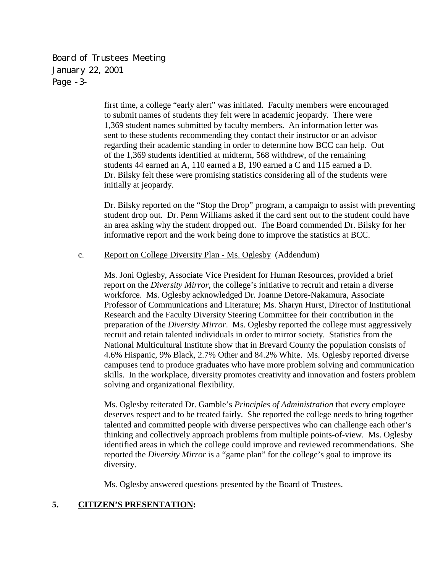Board of Trustees Meeting January 22, 2001 Page -3-

> first time, a college "early alert" was initiated. Faculty members were encouraged to submit names of students they felt were in academic jeopardy. There were 1,369 student names submitted by faculty members. An information letter was sent to these students recommending they contact their instructor or an advisor regarding their academic standing in order to determine how BCC can help. Out of the 1,369 students identified at midterm, 568 withdrew, of the remaining students 44 earned an A, 110 earned a B, 190 earned a C and 115 earned a D. Dr. Bilsky felt these were promising statistics considering all of the students were initially at jeopardy.

Dr. Bilsky reported on the "Stop the Drop" program, a campaign to assist with preventing student drop out. Dr. Penn Williams asked if the card sent out to the student could have an area asking why the student dropped out. The Board commended Dr. Bilsky for her informative report and the work being done to improve the statistics at BCC.

## c. Report on College Diversity Plan - Ms. Oglesby (Addendum)

Ms. Joni Oglesby, Associate Vice President for Human Resources, provided a brief report on the *Diversity Mirror*, the college's initiative to recruit and retain a diverse workforce. Ms. Oglesby acknowledged Dr. Joanne Detore-Nakamura, Associate Professor of Communications and Literature; Ms. Sharyn Hurst, Director of Institutional Research and the Faculty Diversity Steering Committee for their contribution in the preparation of the *Diversity Mirror*. Ms. Oglesby reported the college must aggressively recruit and retain talented individuals in order to mirror society. Statistics from the National Multicultural Institute show that in Brevard County the population consists of 4.6% Hispanic, 9% Black, 2.7% Other and 84.2% White. Ms. Oglesby reported diverse campuses tend to produce graduates who have more problem solving and communication skills. In the workplace, diversity promotes creativity and innovation and fosters problem solving and organizational flexibility.

Ms. Oglesby reiterated Dr. Gamble's *Principles of Administration* that every employee deserves respect and to be treated fairly. She reported the college needs to bring together talented and committed people with diverse perspectives who can challenge each other's thinking and collectively approach problems from multiple points-of-view. Ms. Oglesby identified areas in which the college could improve and reviewed recommendations. She reported the *Diversity Mirror* is a "game plan" for the college's goal to improve its diversity.

Ms. Oglesby answered questions presented by the Board of Trustees.

# **5. CITIZEN'S PRESENTATION:**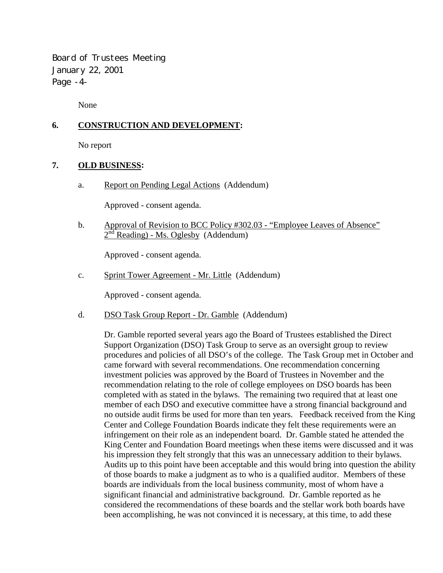Board of Trustees Meeting January 22, 2001 Page -4-

None

# **6. CONSTRUCTION AND DEVELOPMENT:**

No report

## **7. OLD BUSINESS:**

a. Report on Pending Legal Actions (Addendum)

Approved - consent agenda.

 b. Approval of Revision to BCC Policy #302.03 - "Employee Leaves of Absence"  $2<sup>nd</sup>$  Reading) - Ms. Oglesby (Addendum)

Approved - consent agenda.

c. Sprint Tower Agreement - Mr. Little (Addendum)

Approved - consent agenda.

d. DSO Task Group Report - Dr. Gamble (Addendum)

Dr. Gamble reported several years ago the Board of Trustees established the Direct Support Organization (DSO) Task Group to serve as an oversight group to review procedures and policies of all DSO's of the college. The Task Group met in October and came forward with several recommendations. One recommendation concerning investment policies was approved by the Board of Trustees in November and the recommendation relating to the role of college employees on DSO boards has been completed with as stated in the bylaws. The remaining two required that at least one member of each DSO and executive committee have a strong financial background and no outside audit firms be used for more than ten years. Feedback received from the King Center and College Foundation Boards indicate they felt these requirements were an infringement on their role as an independent board. Dr. Gamble stated he attended the King Center and Foundation Board meetings when these items were discussed and it was his impression they felt strongly that this was an unnecessary addition to their bylaws. Audits up to this point have been acceptable and this would bring into question the ability of those boards to make a judgment as to who is a qualified auditor. Members of these boards are individuals from the local business community, most of whom have a significant financial and administrative background. Dr. Gamble reported as he considered the recommendations of these boards and the stellar work both boards have been accomplishing, he was not convinced it is necessary, at this time, to add these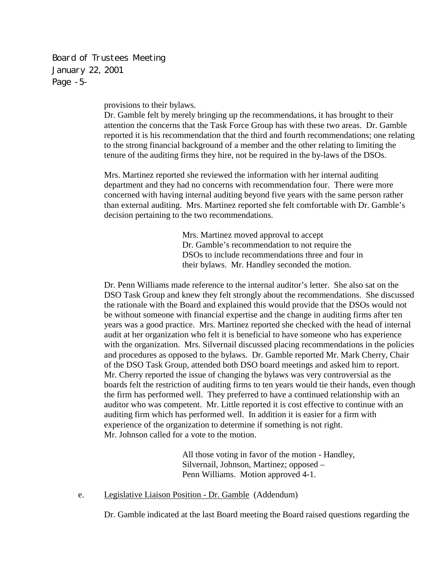Board of Trustees Meeting January 22, 2001 Page -5-

provisions to their bylaws.

Dr. Gamble felt by merely bringing up the recommendations, it has brought to their attention the concerns that the Task Force Group has with these two areas. Dr. Gamble reported it is his recommendation that the third and fourth recommendations; one relating to the strong financial background of a member and the other relating to limiting the tenure of the auditing firms they hire, not be required in the by-laws of the DSOs.

Mrs. Martinez reported she reviewed the information with her internal auditing department and they had no concerns with recommendation four. There were more concerned with having internal auditing beyond five years with the same person rather than external auditing. Mrs. Martinez reported she felt comfortable with Dr. Gamble's decision pertaining to the two recommendations.

> Mrs. Martinez moved approval to accept Dr. Gamble's recommendation to not require the DSOs to include recommendations three and four in their bylaws. Mr. Handley seconded the motion.

Dr. Penn Williams made reference to the internal auditor's letter. She also sat on the DSO Task Group and knew they felt strongly about the recommendations. She discussed the rationale with the Board and explained this would provide that the DSOs would not be without someone with financial expertise and the change in auditing firms after ten years was a good practice. Mrs. Martinez reported she checked with the head of internal audit at her organization who felt it is beneficial to have someone who has experience with the organization. Mrs. Silvernail discussed placing recommendations in the policies and procedures as opposed to the bylaws. Dr. Gamble reported Mr. Mark Cherry, Chair of the DSO Task Group, attended both DSO board meetings and asked him to report. Mr. Cherry reported the issue of changing the bylaws was very controversial as the boards felt the restriction of auditing firms to ten years would tie their hands, even though the firm has performed well. They preferred to have a continued relationship with an auditor who was competent. Mr. Little reported it is cost effective to continue with an auditing firm which has performed well. In addition it is easier for a firm with experience of the organization to determine if something is not right. Mr. Johnson called for a vote to the motion.

> All those voting in favor of the motion - Handley, Silvernail, Johnson, Martinez; opposed – Penn Williams. Motion approved 4-1.

e. Legislative Liaison Position - Dr. Gamble (Addendum)

Dr. Gamble indicated at the last Board meeting the Board raised questions regarding the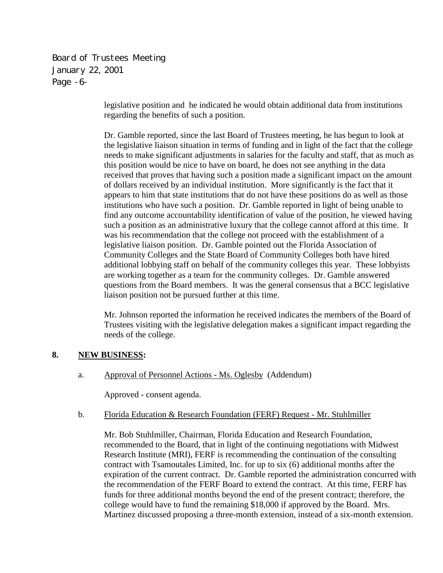Board of Trustees Meeting January 22, 2001 Page -6-

> legislative position and he indicated he would obtain additional data from institutions regarding the benefits of such a position.

Dr. Gamble reported, since the last Board of Trustees meeting, he has begun to look at the legislative liaison situation in terms of funding and in light of the fact that the college needs to make significant adjustments in salaries for the faculty and staff, that as much as this position would be nice to have on board, he does not see anything in the data received that proves that having such a position made a significant impact on the amount of dollars received by an individual institution. More significantly is the fact that it appears to him that state institutions that do not have these positions do as well as those institutions who have such a position. Dr. Gamble reported in light of being unable to find any outcome accountability identification of value of the position, he viewed having such a position as an administrative luxury that the college cannot afford at this time. It was his recommendation that the college not proceed with the establishment of a legislative liaison position. Dr. Gamble pointed out the Florida Association of Community Colleges and the State Board of Community Colleges both have hired additional lobbying staff on behalf of the community colleges this year. These lobbyists are working together as a team for the community colleges. Dr. Gamble answered questions from the Board members. It was the general consensus that a BCC legislative liaison position not be pursued further at this time.

Mr. Johnson reported the information he received indicates the members of the Board of Trustees visiting with the legislative delegation makes a significant impact regarding the needs of the college.

## **8. NEW BUSINESS:**

a. Approval of Personnel Actions - Ms. Oglesby (Addendum)

Approved - consent agenda.

#### b. Florida Education & Research Foundation (FERF) Request - Mr. Stuhlmiller

 Mr. Bob Stuhlmiller, Chairman, Florida Education and Research Foundation, recommended to the Board, that in light of the continuing negotiations with Midwest Research Institute (MRI), FERF is recommending the continuation of the consulting contract with Tsamoutales Limited, Inc. for up to six (6) additional months after the expiration of the current contract. Dr. Gamble reported the administration concurred with the recommendation of the FERF Board to extend the contract. At this time, FERF has funds for three additional months beyond the end of the present contract; therefore, the college would have to fund the remaining \$18,000 if approved by the Board. Mrs. Martinez discussed proposing a three-month extension, instead of a six-month extension.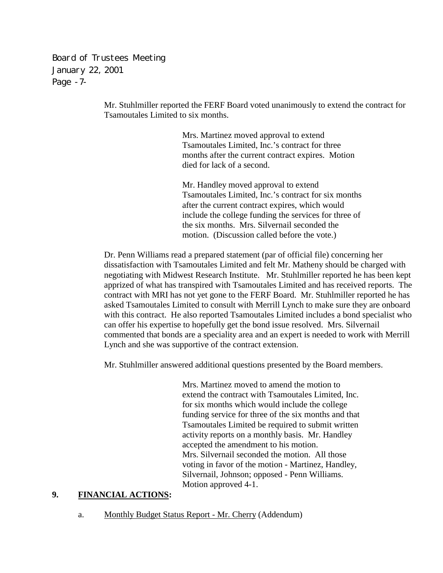Board of Trustees Meeting January 22, 2001 Page -7-

> Mr. Stuhlmiller reported the FERF Board voted unanimously to extend the contract for Tsamoutales Limited to six months.

> > Mrs. Martinez moved approval to extend Tsamoutales Limited, Inc.'s contract for three months after the current contract expires. Motion died for lack of a second.

Mr. Handley moved approval to extend Tsamoutales Limited, Inc.'s contract for six months after the current contract expires, which would include the college funding the services for three of the six months. Mrs. Silvernail seconded the motion. (Discussion called before the vote.)

Dr. Penn Williams read a prepared statement (par of official file) concerning her dissatisfaction with Tsamoutales Limited and felt Mr. Matheny should be charged with negotiating with Midwest Research Institute. Mr. Stuhlmiller reported he has been kept apprized of what has transpired with Tsamoutales Limited and has received reports. The contract with MRI has not yet gone to the FERF Board. Mr. Stuhlmiller reported he has asked Tsamoutales Limited to consult with Merrill Lynch to make sure they are onboard with this contract. He also reported Tsamoutales Limited includes a bond specialist who can offer his expertise to hopefully get the bond issue resolved. Mrs. Silvernail commented that bonds are a speciality area and an expert is needed to work with Merrill Lynch and she was supportive of the contract extension.

Mr. Stuhlmiller answered additional questions presented by the Board members.

Mrs. Martinez moved to amend the motion to extend the contract with Tsamoutales Limited, Inc. for six months which would include the college funding service for three of the six months and that Tsamoutales Limited be required to submit written activity reports on a monthly basis. Mr. Handley accepted the amendment to his motion. Mrs. Silvernail seconded the motion. All those voting in favor of the motion - Martinez, Handley, Silvernail, Johnson; opposed - Penn Williams. Motion approved 4-1.

### **9. FINANCIAL ACTIONS:**

a. Monthly Budget Status Report - Mr. Cherry (Addendum)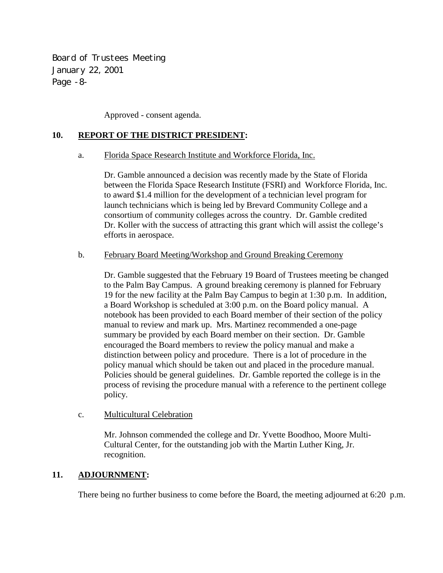Board of Trustees Meeting January 22, 2001 Page -8-

Approved - consent agenda.

## **10. REPORT OF THE DISTRICT PRESIDENT:**

### a. Florida Space Research Institute and Workforce Florida, Inc.

 Dr. Gamble announced a decision was recently made by the State of Florida between the Florida Space Research Institute (FSRI) and Workforce Florida, Inc. to award \$1.4 million for the development of a technician level program for launch technicians which is being led by Brevard Community College and a consortium of community colleges across the country. Dr. Gamble credited Dr. Koller with the success of attracting this grant which will assist the college's efforts in aerospace.

### b. February Board Meeting/Workshop and Ground Breaking Ceremony

 Dr. Gamble suggested that the February 19 Board of Trustees meeting be changed to the Palm Bay Campus. A ground breaking ceremony is planned for February 19 for the new facility at the Palm Bay Campus to begin at 1:30 p.m. In addition, a Board Workshop is scheduled at 3:00 p.m. on the Board policy manual. A notebook has been provided to each Board member of their section of the policy manual to review and mark up. Mrs. Martinez recommended a one-page summary be provided by each Board member on their section. Dr. Gamble encouraged the Board members to review the policy manual and make a distinction between policy and procedure. There is a lot of procedure in the policy manual which should be taken out and placed in the procedure manual. Policies should be general guidelines. Dr. Gamble reported the college is in the process of revising the procedure manual with a reference to the pertinent college policy.

## c. Multicultural Celebration

 Mr. Johnson commended the college and Dr. Yvette Boodhoo, Moore Multi- Cultural Center, for the outstanding job with the Martin Luther King, Jr. recognition.

## **11. ADJOURNMENT:**

There being no further business to come before the Board, the meeting adjourned at 6:20 p.m.